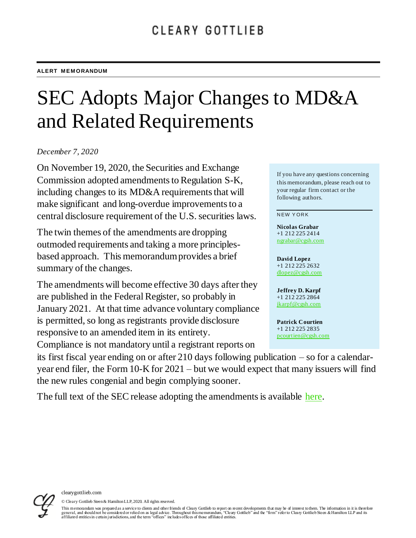# SEC Adopts Major Changes to MD&A and Related Requirements

*December 7, 2020*

On November 19, 2020, the Securities and Exchange Commission adopted amendments to Regulation S-K, including changes to its MD&A requirements that will make significant and long-overdue improvements to a central disclosure requirement of the U.S. securities laws.

The twin themes of the amendments are dropping outmoded requirements and taking a more principlesbased approach. This memorandum provides a brief summary of the changes.

The amendments will become effective 30 days after they are published in the Federal Register, so probably in January 2021. At that time advance voluntary compliance is permitted, so long as registrants provide disclosure responsive to an amended item in its entirety. Compliance is not mandatory until a registrant reports on

If you have any questions concerning this memorandum, please reach out to your regular firm contact or the following authors.

#### **NEW YORK**

**Nicolas Grabar**  +1 212 225 2414 [ngrabar@cgsh.com](mailto:ngrabar@cgsh.com)

**David Lopez** +1 212 225 2632 [dlopez@cgsh.com](mailto:%22David%20Lopez%22%20%3cdlopez@cgsh.com%3e)

**Jeffrey D. Karpf**  +1 212 225 2864 [jkarpf@cgsh.com](mailto:jkarpf@cgsh.com)

**Patrick Courtien** +1 212 225 2835 [pcourtien@cgsh.com](mailto:pcourtien@cgsh.com)

its first fiscal year ending on or after 210 days following publication – so for a calendaryear end filer, the Form 10-K for 2021 – but we would expect that many issuers will find the new rules congenial and begin complying sooner.

The full text of the SEC release adopting the amendments is available [here.](https://www.sec.gov/rules/final/2020/33-10890.pdf)



© Cleary Gottlieb Steen & Hamilton LLP, 2020. All rights reserved.

This memorandum was prepared as a service to clients and other friends of Cleary Gottlieb to report on recent developments that may be of interest to them. The information in it is there fore<br>general, and should not be con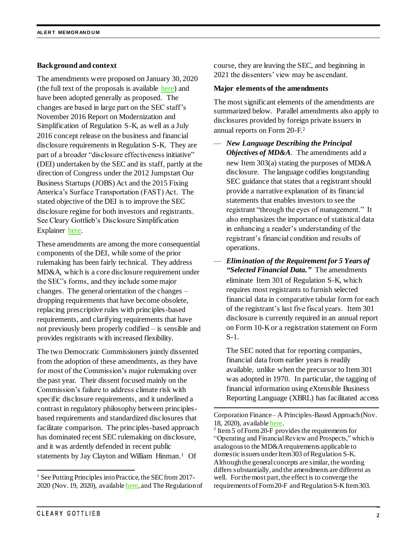## **Background and context**

The amendments were proposed on January 30, 2020 (the full text of the proposals is available [here\)](https://www.sec.gov/rules/proposed/2020/33-10750.pdf) and have been adopted generally as proposed. The changes are based in large part on the SEC staff's November 2016 Report on Modernization and Simplification of Regulation S-K, as well as a July 2016 concept release on the business and financial disclosure requirements in Regulation S-K. They are part of a broader "disclosure effectiveness initiative" (DEI) undertaken by the SEC and its staff, partly at the direction of Congress under the 2012 Jumpstart Our Business Startups (JOBS) Act and the 2015 Fixing America's Surface Transportation (FAST) Act. The stated objective of the DEI is to improve the SEC disclosure regime for both investors and registrants. See Cleary Gottlieb's Disclosure Simplification Explainer [here.](https://www.clearygottlieb.com/-/media/Files/DSE/Disclosure-Effectiveness-Initiative-Chart.pdf)

These amendments are among the more consequential components of the DEI, while some of the prior rulemaking has been fairly technical. They address MD&A, which is a core disclosure requirement under the SEC's forms, and they include some major changes. The general orientation of the changes – dropping requirements that have become obsolete, replacing prescriptive rules with principles-based requirements, and clarifying requirements that have not previously been properly codified – is sensible and provides registrants with increased flexibility.

The two Democratic Commissioners jointly dissented from the adoption of these amendments, as they have for most of the Commission's major rulemaking over the past year. Their dissent focused mainly on the Commission's failure to address climate risk with specific disclosure requirements, and it underlined a contrast in regulatory philosophy between principlesbased requirements and standardized disclosures that facilitate comparison. The principles-based approach has dominated recent SEC rulemaking on disclosure, and it was ardently defended in recent public statements by Jay Clayton and William Hinman.<sup>1</sup> Of

course, they are leaving the SEC, and beginning in 2021 the dissenters' view may be ascendant.

#### **Major elements of the amendments**

The most significant elements of the amendments are summarized below. Parallel amendments also apply to disclosures provided by foreign private issuers in annual reports on Form 20-F. 2

- *New Language Describing the Principal Objectives of MD&A*. The amendments add a new Item 303(a) stating the purposes of MD&A disclosure. The language codifies longstanding SEC guidance that states that a registrant should provide a narrative explanation of its financial statements that enables investors to see the registrant "through the eyes of management." It also emphasizes the importance of statistical data in enhancing a reader's understanding of the registrant's financial condition and results of operations.
- *Elimination of the Requirement for 5 Years of "Selected Financial Data."* The amendments eliminate Item 301 of Regulation S-K, which requires most registrants to furnish selected financial data in comparative tabular form for each of the registrant's last five fiscal years. Item 301 disclosure is currently required in an annual report on Form 10-K or a registration statement on Form S-1.

The SEC noted that for reporting companies, financial data from earlier years is readily available, unlike when the precursor to Item 301 was adopted in 1970. In particular, the tagging of financial information using eXtensible Business Reporting Language (XBRL) has facilitated access

l

l <sup>1</sup> See Putting Principles into Practice, the SEC from 20172020 (Nov. 19, 2020), availabl[e here](https://www.sec.gov/news/speech/clayton-economic-club-ny-2020-11-19), and The Regulation of

Corporation Finance – A Principles-Based Approach(Nov. 18, 2020), availabl[e here.](https://www.sec.gov/news/speech/hinman-regulation-corporation-finance-2020-11-18)

<sup>&</sup>lt;sup>2</sup> Item 5 of Form 20-F provides the requirements for "Operating and Financial Review and Prospects," which is analogous to the MD&A requirements applicable to domestic issuers under Item 303 of Regulation S-K. Although the general concepts are similar, the wording differs substantially, and the amendments are different as well. For the most part, the effect is to converge the requirements of Form 20-F and Regulation S-K Item 303.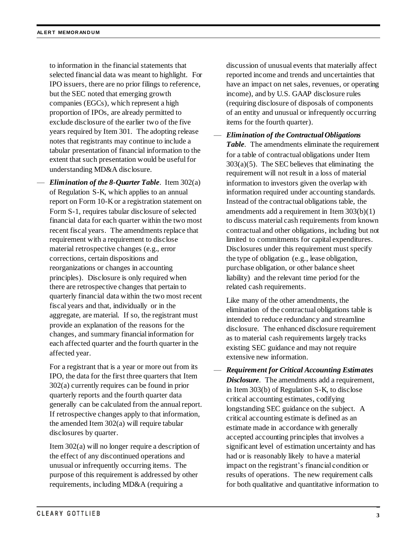to information in the financial statements that selected financial data was meant to highlight. For IPO issuers, there are no prior filings to reference, but the SEC noted that emerging growth companies (EGCs), which represent a high proportion of IPOs, are already permitted to exclude disclosure of the earlier two of the five years required by Item 301. The adopting release notes that registrants may continue to include a tabular presentation of financial information to the extent that such presentation would be useful for understanding MD&A disclosure.

— *Elimination of the 8-Quarter Table*. Item 302(a) of Regulation S-K, which applies to an annual report on Form 10-K or a registration statement on Form S-1, requires tabular disclosure of selected financial data for each quarter within the two most recent fiscal years. The amendments replace that requirement with a requirement to disclose material retrospective changes (e.g., error corrections, certain dispositions and reorganizations or changes in accounting principles). Disclosure is only required when there are retrospective changes that pertain to quarterly financial data within the two most recent fiscal years and that, individually or in the aggregate, are material. If so, the registrant must provide an explanation of the reasons for the changes, and summary financial information for each affected quarter and the fourth quarter in the affected year.

For a registrant that is a year or more out from its IPO, the data for the first three quarters that Item 302(a) currently requires can be found in prior quarterly reports and the fourth quarter data generally can be calculated from the annual report. If retrospective changes apply to that information, the amended Item 302(a) will require tabular disclosures by quarter.

Item 302(a) will no longer require a description of the effect of any discontinued operations and unusual or infrequently occurring items. The purpose of this requirement is addressed by other requirements, including MD&A (requiring a

discussion of unusual events that materially affect reported income and trends and uncertainties that have an impact on net sales, revenues, or operating income), and by U.S. GAAP disclosure rules (requiring disclosure of disposals of components of an entity and unusual or infrequently occurring items for the fourth quarter).

— *Elimination of the Contractual Obligations Table*. The amendments eliminate the requirement for a table of contractual obligations under Item  $303(a)(5)$ . The SEC believes that eliminating the requirement will not result in a loss of material information to investors given the overlap with information required under accounting standards. Instead of the contractual obligations table, the amendments add a requirement in Item 303(b)(1) to discuss material cash requirements from known contractual and other obligations, including but not limited to commitments for capital expenditures. Disclosures under this requirement must specify the type of obligation (e.g., lease obligation, purchase obligation, or other balance sheet liability) and the relevant time period for the related cash requirements.

Like many of the other amendments, the elimination of the contractual obligations table is intended to reduce redundancy and streamline disclosure. The enhanced disclosure requirement as to material cash requirements largely tracks existing SEC guidance and may not require extensive new information.

— *Requirement for Critical Accounting Estimates Disclosure*. The amendments add a requirement, in Item 303(b) of Regulation S-K, to disclose critical accounting estimates, codifying longstanding SEC guidance on the subject. A critical accounting estimate is defined as an estimate made in accordance with generally accepted accounting principles that involves a significant level of estimation uncertainty and has had or is reasonably likely to have a material impact on the registrant's financial condition or results of operations. The new requirement calls for both qualitative and quantitative information to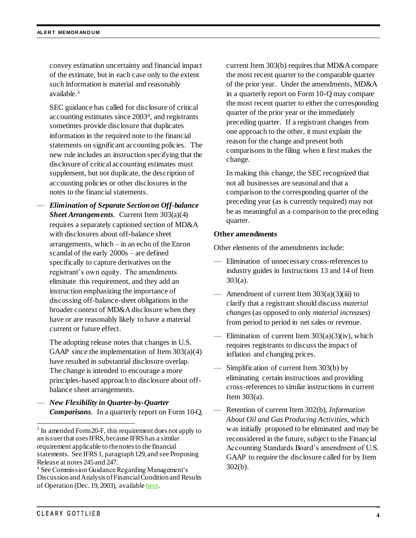convey estimation uncertainty and financial impact of the estimate, but in each case only to the extent such information is material and reasonably available. 3

SEC guidance has called for disclosure of critical accounting estimates since 2003<sup>4</sup> , and registrants sometimes provide disclosure that duplicates information in the required note to the financial statements on significant accounting policies. The new rule includes an instruction specifying that the disclosure of critical accounting estimates must supplement, but not duplicate, the description of accounting policies or other disclosures in the notes to the financial statements.

— *Elimination of Separate Section on Off-balance Sheet Arrangements*. Current Item 303(a)(4) requires a separately captioned section of MD&A with disclosures about off-balance sheet arrangements, which – in an echo of the Enron scandal of the early 2000s – are defined specifically to capture derivatives on the registrant's own equity. The amendments eliminate this requirement, and they add an instruction emphasizing the importance of discussing off-balance-sheet obligations in the broader context of MD&A disclosure when they have or are reasonably likely to have a material current or future effect.

The adopting release notes that changes in U.S. GAAP since the implementation of Item  $303(a)(4)$ have resulted in substantial disclosure overlap. The change is intended to encourage a more principles-based approach to disclosure about offbalance sheet arrangements.

— *New Flexibility in Quarter-by-Quarter Comparisons*. In a quarterly report on Form 10-Q, current Item 303(b) requires that MD&A compare the most recent quarter to the comparable quarter of the prior year. Under the amendments, MD&A in a quarterly report on Form 10-Q may compare the most recent quarter to either the corresponding quarter of the prior year or the immediately preceding quarter. If a registrant changes from one approach to the other, it must explain the reason for the change and present both comparisons in the filing when it first makes the change.

In making this change, the SEC recognized that not all businesses are seasonal and that a comparison to the corresponding quarter of the preceding year (as is currently required) may not be as meaningful as a comparison to the preceding quarter.

### **Other amendments**

Other elements of the amendments include:

- Elimination of unnecessary cross-references to industry guides in Instructions 13 and 14 of Item 303(a).
- $-$  Amendment of current Item 303(a)(3)(iii) to clarify that a registrant should discuss *material changes*(as opposed to only *material increases*) from period to period in net sales or revenue.
- Elimination of current Item  $303(a)(3)(iv)$ , which requires registrants to discuss the impact of inflation and changing prices.
- Simplification of current Item 303(b) by eliminating certain instructions and providing cross-references to similar instructions in current Item 303(a).
- Retention of current Item 302(b), *Information About Oil and Gas Producing Activities*, which was initially proposed to be eliminated and may be reconsidered in the future, subject to the Financial Accounting Standards Board's amendment of U.S. GAAP to require the disclosure called for by Item 302(b).

l

<sup>&</sup>lt;sup>3</sup> In amended Form 20-F, this requirement does not apply to an issuer that uses IFRS, because IFRS has a similar requirement applicable to the notes to the financial statements. See IFRS 1, paragraph 129, and see Proposing Release at notes 245 and 247.

<sup>4</sup> See Commission Guidance Regarding Management's Discussion and Analysis of Financial Condition and Results of Operation (Dec. 19, 2003), availabl[e here](https://www.sec.gov/rules/interp/33-8350.htm).